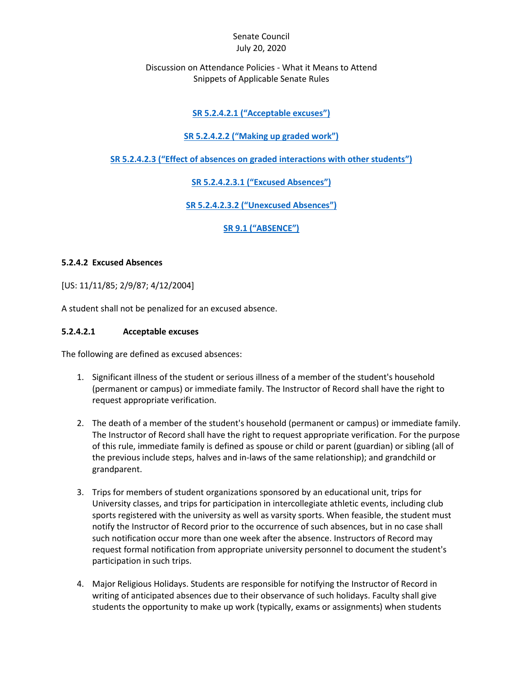#### Senate Council July 20, 2020

#### Discussion on Attendance Policies - What it Means to Attend Snippets of Applicable Senate Rules

# **SR 5.2.4.2.1 ("[Acceptable excuses](#page-0-0)")**

#### **SR 5.2.4.2.2 ("[Making up graded work](#page-1-0)")**

**SR 5.2.4.2.3 ("[Effect of absences on graded interactions with other students](#page-1-0)")**

**SR 5.2.4.2.3.1 ("[Excused Absences](#page-1-1)")**

**SR 5.2.4.2.3.2 ("[Unexcused Absences](#page-2-0)")**

<span id="page-0-0"></span>**SR 9.1 ("[ABSENCE](#page-2-1)")**

#### **5.2.4.2 Excused Absences**

[US: 11/11/85; 2/9/87; 4/12/2004]

A student shall not be penalized for an excused absence.

#### **5.2.4.2.1 Acceptable excuses**

The following are defined as excused absences:

- 1. Significant illness of the student or serious illness of a member of the student's household (permanent or campus) or immediate family. The Instructor of Record shall have the right to request appropriate verification.
- 2. The death of a member of the student's household (permanent or campus) or immediate family. The Instructor of Record shall have the right to request appropriate verification. For the purpose of this rule, immediate family is defined as spouse or child or parent (guardian) or sibling (all of the previous include steps, halves and in-laws of the same relationship); and grandchild or grandparent.
- 3. Trips for members of student organizations sponsored by an educational unit, trips for University classes, and trips for participation in intercollegiate athletic events, including club sports registered with the university as well as varsity sports. When feasible, the student must notify the Instructor of Record prior to the occurrence of such absences, but in no case shall such notification occur more than one week after the absence. Instructors of Record may request formal notification from appropriate university personnel to document the student's participation in such trips.
- 4. Major Religious Holidays. Students are responsible for notifying the Instructor of Record in writing of anticipated absences due to their observance of such holidays. Faculty shall give students the opportunity to make up work (typically, exams or assignments) when students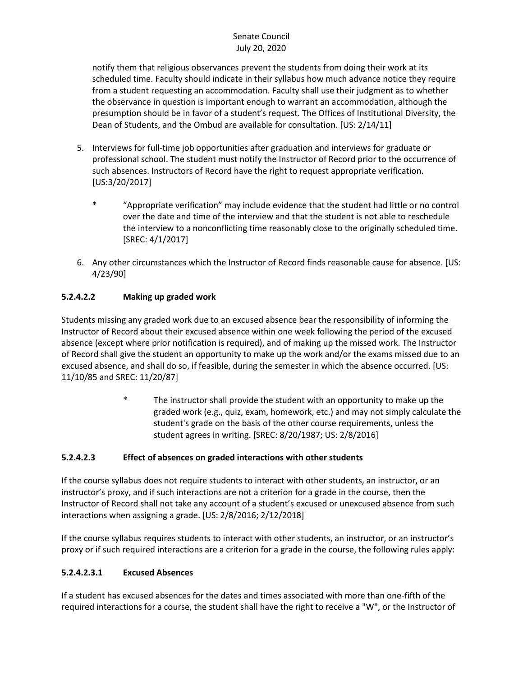# Senate Council July 20, 2020

notify them that religious observances prevent the students from doing their work at its scheduled time. Faculty should indicate in their syllabus how much advance notice they require from a student requesting an accommodation. Faculty shall use their judgment as to whether the observance in question is important enough to warrant an accommodation, although the presumption should be in favor of a student's request. The Offices of Institutional Diversity, the Dean of Students, and the Ombud are available for consultation. [US: 2/14/11]

- 5. Interviews for full-time job opportunities after graduation and interviews for graduate or professional school. The student must notify the Instructor of Record prior to the occurrence of such absences. Instructors of Record have the right to request appropriate verification. [US:3/20/2017]
	- \* "Appropriate verification" may include evidence that the student had little or no control over the date and time of the interview and that the student is not able to reschedule the interview to a nonconflicting time reasonably close to the originally scheduled time. [SREC: 4/1/2017]
- 6. Any other circumstances which the Instructor of Record finds reasonable cause for absence. [US: 4/23/90]

# <span id="page-1-0"></span>**5.2.4.2.2 Making up graded work**

Students missing any graded work due to an excused absence bear the responsibility of informing the Instructor of Record about their excused absence within one week following the period of the excused absence (except where prior notification is required), and of making up the missed work. The Instructor of Record shall give the student an opportunity to make up the work and/or the exams missed due to an excused absence, and shall do so, if feasible, during the semester in which the absence occurred. [US: 11/10/85 and SREC: 11/20/87]

> \* The instructor shall provide the student with an opportunity to make up the graded work (e.g., quiz, exam, homework, etc.) and may not simply calculate the student's grade on the basis of the other course requirements, unless the student agrees in writing. [SREC: 8/20/1987; US: 2/8/2016]

# **5.2.4.2.3 Effect of absences on graded interactions with other students**

If the course syllabus does not require students to interact with other students, an instructor, or an instructor's proxy, and if such interactions are not a criterion for a grade in the course, then the Instructor of Record shall not take any account of a student's excused or unexcused absence from such interactions when assigning a grade. [US: 2/8/2016; 2/12/2018]

If the course syllabus requires students to interact with other students, an instructor, or an instructor's proxy or if such required interactions are a criterion for a grade in the course, the following rules apply:

# <span id="page-1-1"></span>**5.2.4.2.3.1 Excused Absences**

If a student has excused absences for the dates and times associated with more than one-fifth of the required interactions for a course, the student shall have the right to receive a "W", or the Instructor of